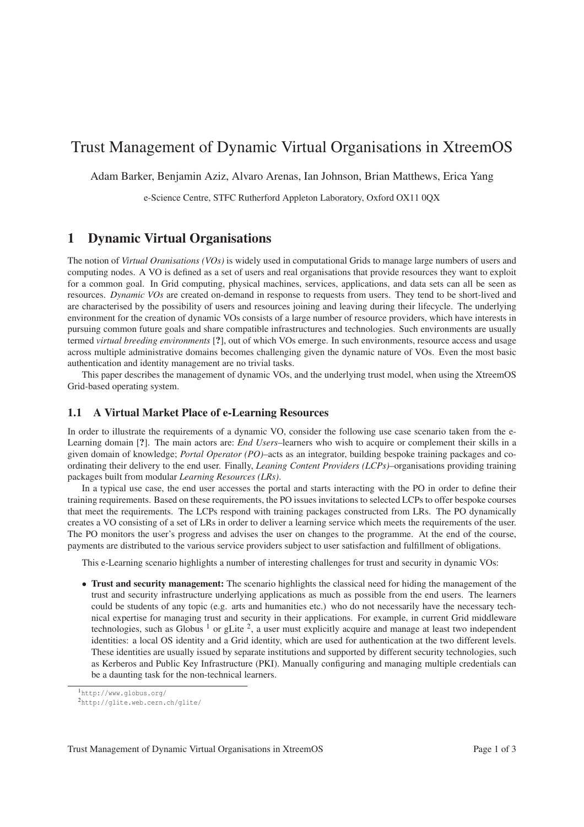# Trust Management of Dynamic Virtual Organisations in XtreemOS

Adam Barker, Benjamin Aziz, Alvaro Arenas, Ian Johnson, Brian Matthews, Erica Yang

e-Science Centre, STFC Rutherford Appleton Laboratory, Oxford OX11 0QX

#### 1 Dynamic Virtual Organisations

The notion of *Virtual Oranisations (VOs)* is widely used in computational Grids to manage large numbers of users and computing nodes. A VO is defined as a set of users and real organisations that provide resources they want to exploit for a common goal. In Grid computing, physical machines, services, applications, and data sets can all be seen as resources. *Dynamic VOs* are created on-demand in response to requests from users. They tend to be short-lived and are characterised by the possibility of users and resources joining and leaving during their lifecycle. The underlying environment for the creation of dynamic VOs consists of a large number of resource providers, which have interests in pursuing common future goals and share compatible infrastructures and technologies. Such environments are usually termed *virtual breeding environments* [?], out of which VOs emerge. In such environments, resource access and usage across multiple administrative domains becomes challenging given the dynamic nature of VOs. Even the most basic authentication and identity management are no trivial tasks.

This paper describes the management of dynamic VOs, and the underlying trust model, when using the XtreemOS Grid-based operating system.

#### 1.1 A Virtual Market Place of e-Learning Resources

In order to illustrate the requirements of a dynamic VO, consider the following use case scenario taken from the e-Learning domain [?]. The main actors are: *End Users*–learners who wish to acquire or complement their skills in a given domain of knowledge; *Portal Operator (PO)*–acts as an integrator, building bespoke training packages and coordinating their delivery to the end user. Finally, *Leaning Content Providers (LCPs)*–organisations providing training packages built from modular *Learning Resources (LRs)*.

In a typical use case, the end user accesses the portal and starts interacting with the PO in order to define their training requirements. Based on these requirements, the PO issues invitations to selected LCPs to offer bespoke courses that meet the requirements. The LCPs respond with training packages constructed from LRs. The PO dynamically creates a VO consisting of a set of LRs in order to deliver a learning service which meets the requirements of the user. The PO monitors the user's progress and advises the user on changes to the programme. At the end of the course, payments are distributed to the various service providers subject to user satisfaction and fulfillment of obligations.

This e-Learning scenario highlights a number of interesting challenges for trust and security in dynamic VOs:

• Trust and security management: The scenario highlights the classical need for hiding the management of the trust and security infrastructure underlying applications as much as possible from the end users. The learners could be students of any topic (e.g. arts and humanities etc.) who do not necessarily have the necessary technical expertise for managing trust and security in their applications. For example, in current Grid middleware technologies, such as Globus  $<sup>1</sup>$  or gLite  $<sup>2</sup>$ , a user must explicitly acquire and manage at least two independent</sup></sup> identities: a local OS identity and a Grid identity, which are used for authentication at the two different levels. These identities are usually issued by separate institutions and supported by different security technologies, such as Kerberos and Public Key Infrastructure (PKI). Manually configuring and managing multiple credentials can be a daunting task for the non-technical learners.

<sup>1</sup>http://www.globus.org/

<sup>2</sup>http://glite.web.cern.ch/glite/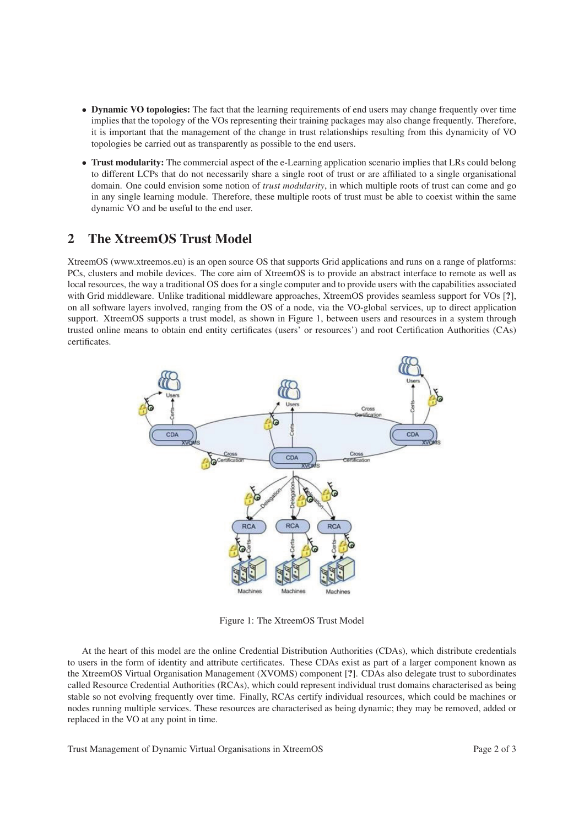- Dynamic VO topologies: The fact that the learning requirements of end users may change frequently over time implies that the topology of the VOs representing their training packages may also change frequently. Therefore, it is important that the management of the change in trust relationships resulting from this dynamicity of VO topologies be carried out as transparently as possible to the end users.
- Trust modularity: The commercial aspect of the e-Learning application scenario implies that LRs could belong to different LCPs that do not necessarily share a single root of trust or are affiliated to a single organisational domain. One could envision some notion of *trust modularity*, in which multiple roots of trust can come and go in any single learning module. Therefore, these multiple roots of trust must be able to coexist within the same dynamic VO and be useful to the end user.

### 2 The XtreemOS Trust Model

XtreemOS (www.xtreemos.eu) is an open source OS that supports Grid applications and runs on a range of platforms: PCs, clusters and mobile devices. The core aim of XtreemOS is to provide an abstract interface to remote as well as local resources, the way a traditional OS does for a single computer and to provide users with the capabilities associated with Grid middleware. Unlike traditional middleware approaches, XtreemOS provides seamless support for VOs [?], on all software layers involved, ranging from the OS of a node, via the VO-global services, up to direct application support. XtreemOS supports a trust model, as shown in Figure 1, between users and resources in a system through trusted online means to obtain end entity certificates (users' or resources') and root Certification Authorities (CAs) certificates.



Figure 1: The XtreemOS Trust Model

At the heart of this model are the online Credential Distribution Authorities (CDAs), which distribute credentials to users in the form of identity and attribute certificates. These CDAs exist as part of a larger component known as the XtreemOS Virtual Organisation Management (XVOMS) component [?]. CDAs also delegate trust to subordinates called Resource Credential Authorities (RCAs), which could represent individual trust domains characterised as being stable so not evolving frequently over time. Finally, RCAs certify individual resources, which could be machines or nodes running multiple services. These resources are characterised as being dynamic; they may be removed, added or replaced in the VO at any point in time.

Trust Management of Dynamic Virtual Organisations in XtreemOS Page 2 of 3